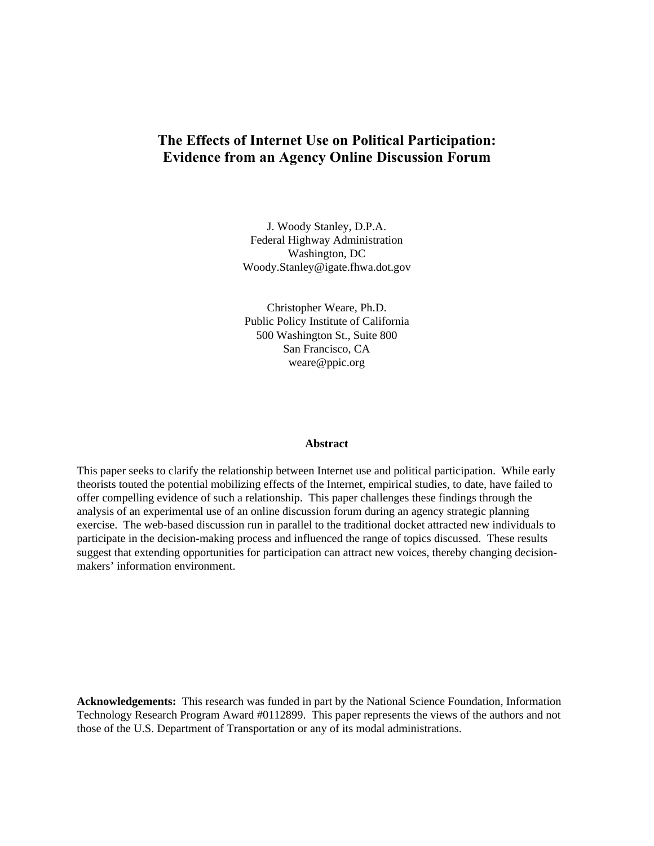# **The Effects of Internet Use on Political Participation: Evidence from an Agency Online Discussion Forum**

J. Woody Stanley, D.P.A. Federal Highway Administration Washington, DC Woody.Stanley@igate.fhwa.dot.gov

Christopher Weare, Ph.D. Public Policy Institute of California 500 Washington St., Suite 800 San Francisco, CA weare@ppic.org

#### **Abstract**

This paper seeks to clarify the relationship between Internet use and political participation. While early theorists touted the potential mobilizing effects of the Internet, empirical studies, to date, have failed to offer compelling evidence of such a relationship. This paper challenges these findings through the analysis of an experimental use of an online discussion forum during an agency strategic planning exercise. The web-based discussion run in parallel to the traditional docket attracted new individuals to participate in the decision-making process and influenced the range of topics discussed. These results suggest that extending opportunities for participation can attract new voices, thereby changing decisionmakers' information environment.

**Acknowledgements:** This research was funded in part by the National Science Foundation, Information Technology Research Program Award #0112899. This paper represents the views of the authors and not those of the U.S. Department of Transportation or any of its modal administrations.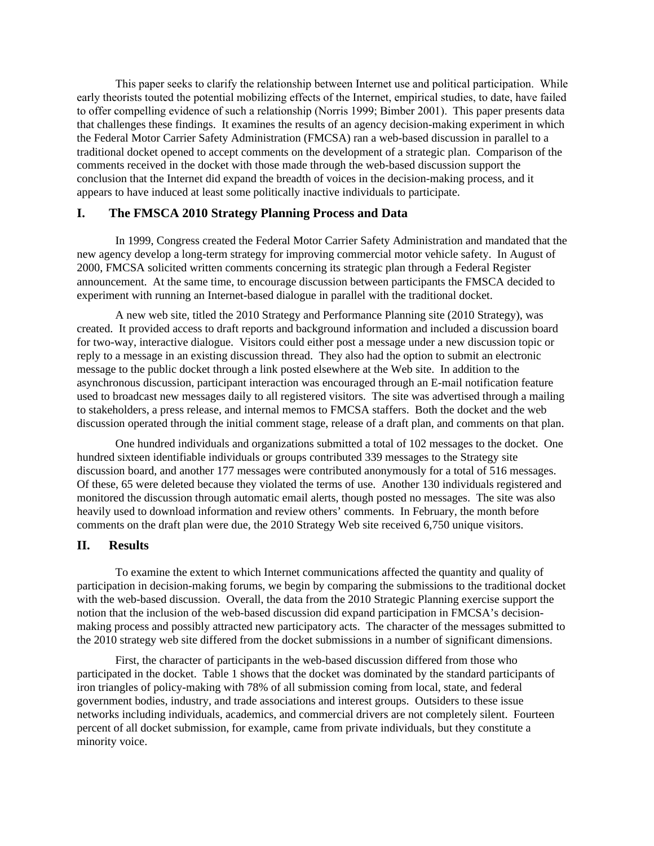This paper seeks to clarify the relationship between Internet use and political participation. While early theorists touted the potential mobilizing effects of the Internet, empirical studies, to date, have failed to offer compelling evidence of such a relationship (Norris 1999; Bimber 2001). This paper presents data that challenges these findings. It examines the results of an agency decision-making experiment in which the Federal Motor Carrier Safety Administration (FMCSA) ran a web-based discussion in parallel to a traditional docket opened to accept comments on the development of a strategic plan. Comparison of the comments received in the docket with those made through the web-based discussion support the conclusion that the Internet did expand the breadth of voices in the decision-making process, and it appears to have induced at least some politically inactive individuals to participate.

## **I. The FMSCA 2010 Strategy Planning Process and Data**

In 1999, Congress created the Federal Motor Carrier Safety Administration and mandated that the new agency develop a long-term strategy for improving commercial motor vehicle safety. In August of 2000, FMCSA solicited written comments concerning its strategic plan through a Federal Register announcement. At the same time, to encourage discussion between participants the FMSCA decided to experiment with running an Internet-based dialogue in parallel with the traditional docket.

A new web site, titled the 2010 Strategy and Performance Planning site (2010 Strategy), was created. It provided access to draft reports and background information and included a discussion board for two-way, interactive dialogue. Visitors could either post a message under a new discussion topic or reply to a message in an existing discussion thread. They also had the option to submit an electronic message to the public docket through a link posted elsewhere at the Web site. In addition to the asynchronous discussion, participant interaction was encouraged through an E-mail notification feature used to broadcast new messages daily to all registered visitors. The site was advertised through a mailing to stakeholders, a press release, and internal memos to FMCSA staffers. Both the docket and the web discussion operated through the initial comment stage, release of a draft plan, and comments on that plan.

One hundred individuals and organizations submitted a total of 102 messages to the docket. One hundred sixteen identifiable individuals or groups contributed 339 messages to the Strategy site discussion board, and another 177 messages were contributed anonymously for a total of 516 messages. Of these, 65 were deleted because they violated the terms of use. Another 130 individuals registered and monitored the discussion through automatic email alerts, though posted no messages. The site was also heavily used to download information and review others' comments. In February, the month before comments on the draft plan were due, the 2010 Strategy Web site received 6,750 unique visitors.

#### **II. Results**

To examine the extent to which Internet communications affected the quantity and quality of participation in decision-making forums, we begin by comparing the submissions to the traditional docket with the web-based discussion. Overall, the data from the 2010 Strategic Planning exercise support the notion that the inclusion of the web-based discussion did expand participation in FMCSA's decisionmaking process and possibly attracted new participatory acts. The character of the messages submitted to the 2010 strategy web site differed from the docket submissions in a number of significant dimensions.

First, the character of participants in the web-based discussion differed from those who participated in the docket. Table 1 shows that the docket was dominated by the standard participants of iron triangles of policy-making with 78% of all submission coming from local, state, and federal government bodies, industry, and trade associations and interest groups. Outsiders to these issue networks including individuals, academics, and commercial drivers are not completely silent. Fourteen percent of all docket submission, for example, came from private individuals, but they constitute a minority voice.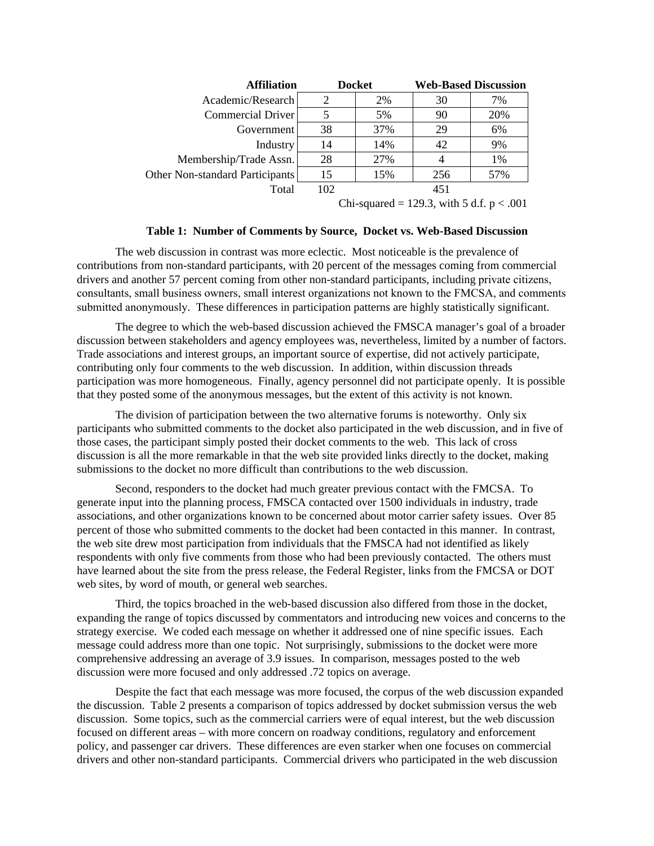| <b>Affiliation</b>              |     | <b>Docket</b> | <b>Web-Based Discussion</b> |     |
|---------------------------------|-----|---------------|-----------------------------|-----|
| Academic/Research               |     | 2%            | 30                          | 7%  |
| Commercial Driver               |     | 5%            | 90                          | 20% |
| Government                      | 38  | 37%           | 29                          | 6%  |
| Industry                        | 14  | 14%           | 42                          | 9%  |
| Membership/Trade Assn.          | 28  | 27%           |                             | 1%  |
| Other Non-standard Participants | 15  | 15%           | 256                         | 57% |
| Total                           | 102 |               | 451                         |     |
|                                 |     |               |                             |     |

Chi-squared = 129.3, with 5 d.f.  $p < .001$ 

#### **Table 1: Number of Comments by Source, Docket vs. Web-Based Discussion**

The web discussion in contrast was more eclectic. Most noticeable is the prevalence of contributions from non-standard participants, with 20 percent of the messages coming from commercial drivers and another 57 percent coming from other non-standard participants, including private citizens, consultants, small business owners, small interest organizations not known to the FMCSA, and comments submitted anonymously. These differences in participation patterns are highly statistically significant.

The degree to which the web-based discussion achieved the FMSCA manager's goal of a broader discussion between stakeholders and agency employees was, nevertheless, limited by a number of factors. Trade associations and interest groups, an important source of expertise, did not actively participate, contributing only four comments to the web discussion. In addition, within discussion threads participation was more homogeneous. Finally, agency personnel did not participate openly. It is possible that they posted some of the anonymous messages, but the extent of this activity is not known.

The division of participation between the two alternative forums is noteworthy. Only six participants who submitted comments to the docket also participated in the web discussion, and in five of those cases, the participant simply posted their docket comments to the web. This lack of cross discussion is all the more remarkable in that the web site provided links directly to the docket, making submissions to the docket no more difficult than contributions to the web discussion.

Second, responders to the docket had much greater previous contact with the FMCSA. To generate input into the planning process, FMSCA contacted over 1500 individuals in industry, trade associations, and other organizations known to be concerned about motor carrier safety issues. Over 85 percent of those who submitted comments to the docket had been contacted in this manner. In contrast, the web site drew most participation from individuals that the FMSCA had not identified as likely respondents with only five comments from those who had been previously contacted. The others must have learned about the site from the press release, the Federal Register, links from the FMCSA or DOT web sites, by word of mouth, or general web searches.

Third, the topics broached in the web-based discussion also differed from those in the docket, expanding the range of topics discussed by commentators and introducing new voices and concerns to the strategy exercise. We coded each message on whether it addressed one of nine specific issues. Each message could address more than one topic. Not surprisingly, submissions to the docket were more comprehensive addressing an average of 3.9 issues. In comparison, messages posted to the web discussion were more focused and only addressed .72 topics on average.

Despite the fact that each message was more focused, the corpus of the web discussion expanded the discussion. Table 2 presents a comparison of topics addressed by docket submission versus the web discussion. Some topics, such as the commercial carriers were of equal interest, but the web discussion focused on different areas – with more concern on roadway conditions, regulatory and enforcement policy, and passenger car drivers. These differences are even starker when one focuses on commercial drivers and other non-standard participants. Commercial drivers who participated in the web discussion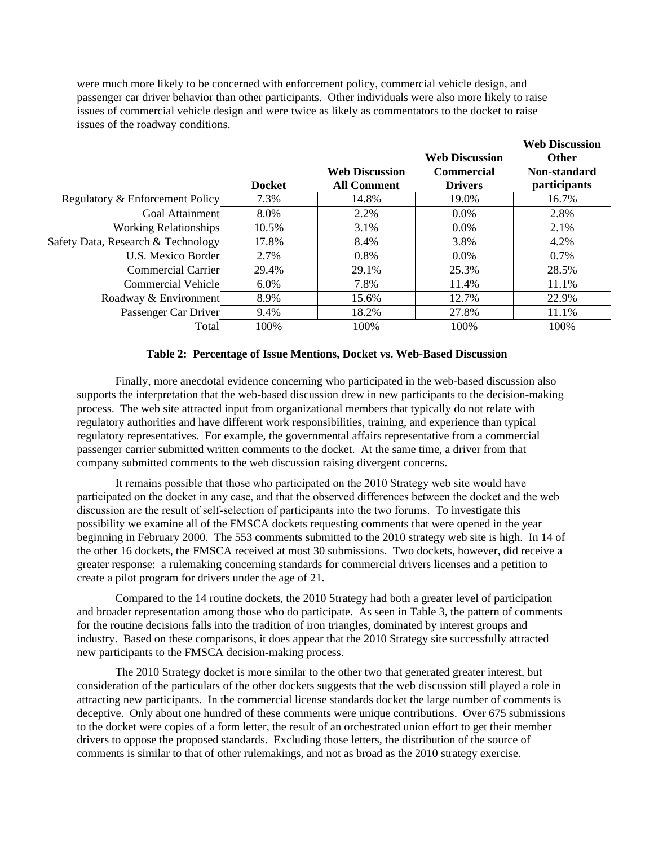were much more likely to be concerned with enforcement policy, commercial vehicle design, and passenger car driver behavior than other participants. Other individuals were also more likely to raise issues of commercial vehicle design and were twice as likely as commentators to the docket to raise issues of the roadway conditions.

|                                    | <b>Docket</b> | <b>Web Discussion</b><br><b>All Comment</b> | <b>Web Discussion</b><br><b>Commercial</b><br><b>Drivers</b> | <b>Web Discussion</b><br><b>Other</b><br>Non-standard<br>participants |
|------------------------------------|---------------|---------------------------------------------|--------------------------------------------------------------|-----------------------------------------------------------------------|
| Regulatory & Enforcement Policy    | 7.3%          | 14.8%                                       | 19.0%                                                        | 16.7%                                                                 |
| Goal Attainment                    | 8.0%          | 2.2%                                        | $0.0\%$                                                      | 2.8%                                                                  |
| <b>Working Relationships</b>       | 10.5%         | 3.1%                                        | $0.0\%$                                                      | 2.1%                                                                  |
| Safety Data, Research & Technology | 17.8%         | 8.4%                                        | 3.8%                                                         | 4.2%                                                                  |
| U.S. Mexico Border                 | 2.7%          | 0.8%                                        | $0.0\%$                                                      | 0.7%                                                                  |
| Commercial Carrier                 | 29.4%         | 29.1%                                       | 25.3%                                                        | 28.5%                                                                 |
| Commercial Vehicle                 | 6.0%          | 7.8%                                        | 11.4%                                                        | 11.1%                                                                 |
| Roadway & Environment              | 8.9%          | 15.6%                                       | 12.7%                                                        | 22.9%                                                                 |
| Passenger Car Driver               | 9.4%          | 18.2%                                       | 27.8%                                                        | 11.1%                                                                 |
| Total                              | 100%          | 100%                                        | 100%                                                         | 100%                                                                  |

#### **Table 2: Percentage of Issue Mentions, Docket vs. Web-Based Discussion**

Finally, more anecdotal evidence concerning who participated in the web-based discussion also supports the interpretation that the web-based discussion drew in new participants to the decision-making process. The web site attracted input from organizational members that typically do not relate with regulatory authorities and have different work responsibilities, training, and experience than typical regulatory representatives. For example, the governmental affairs representative from a commercial passenger carrier submitted written comments to the docket. At the same time, a driver from that company submitted comments to the web discussion raising divergent concerns.

It remains possible that those who participated on the 2010 Strategy web site would have participated on the docket in any case, and that the observed differences between the docket and the web discussion are the result of self-selection of participants into the two forums. To investigate this possibility we examine all of the FMSCA dockets requesting comments that were opened in the year beginning in February 2000. The 553 comments submitted to the 2010 strategy web site is high. In 14 of the other 16 dockets, the FMSCA received at most 30 submissions. Two dockets, however, did receive a greater response: a rulemaking concerning standards for commercial drivers licenses and a petition to create a pilot program for drivers under the age of 21.

Compared to the 14 routine dockets, the 2010 Strategy had both a greater level of participation and broader representation among those who do participate. As seen in Table 3, the pattern of comments for the routine decisions falls into the tradition of iron triangles, dominated by interest groups and industry. Based on these comparisons, it does appear that the 2010 Strategy site successfully attracted new participants to the FMSCA decision-making process.

The 2010 Strategy docket is more similar to the other two that generated greater interest, but consideration of the particulars of the other dockets suggests that the web discussion still played a role in attracting new participants. In the commercial license standards docket the large number of comments is deceptive. Only about one hundred of these comments were unique contributions. Over 675 submissions to the docket were copies of a form letter, the result of an orchestrated union effort to get their member drivers to oppose the proposed standards. Excluding those letters, the distribution of the source of comments is similar to that of other rulemakings, and not as broad as the 2010 strategy exercise.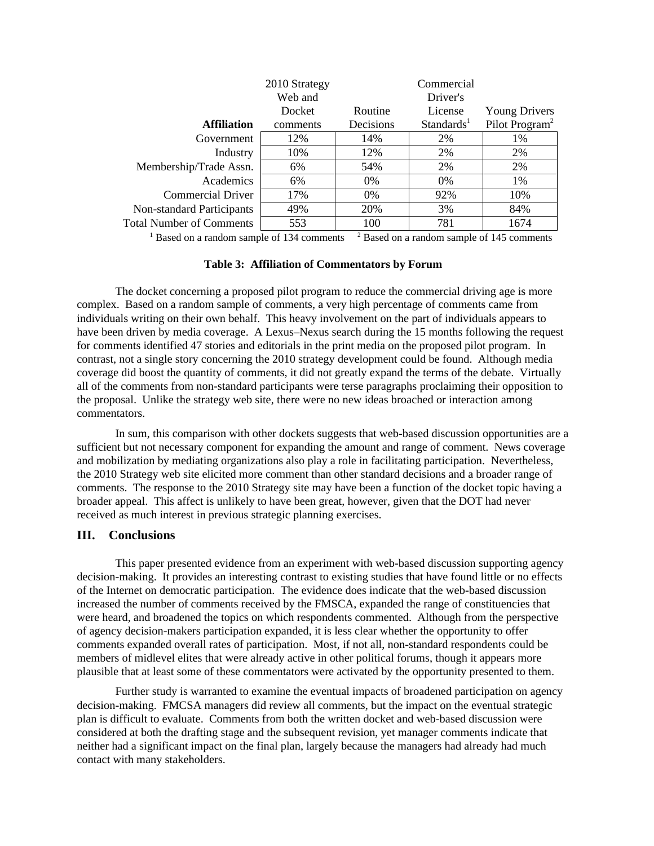|                                                                                                       | 2010 Strategy<br>Web and |           | Commercial<br>Driver's |                            |  |  |
|-------------------------------------------------------------------------------------------------------|--------------------------|-----------|------------------------|----------------------------|--|--|
|                                                                                                       | Docket                   | Routine   | License                | <b>Young Drivers</b>       |  |  |
| <b>Affiliation</b>                                                                                    | comments                 | Decisions | Standards <sup>1</sup> | Pilot Program <sup>2</sup> |  |  |
| Government                                                                                            | 12%                      | 14%       | 2%                     | 1%                         |  |  |
| Industry                                                                                              | 10%                      | 12%       | 2%                     | 2%                         |  |  |
| Membership/Trade Assn.                                                                                | 6%                       | 54%       | 2%                     | 2%                         |  |  |
| Academics                                                                                             | 6%                       | $0\%$     | $0\%$                  | $1\%$                      |  |  |
| <b>Commercial Driver</b>                                                                              | 17%                      | $0\%$     | 92%                    | 10%                        |  |  |
| Non-standard Participants                                                                             | 49%                      | 20%       | 3%                     | 84%                        |  |  |
| <b>Total Number of Comments</b>                                                                       | 553                      | 100       | 781                    | 1674                       |  |  |
| <sup>1</sup> Based on a random sample of 134 comments<br>$2$ Based on a random sample of 145 comments |                          |           |                        |                            |  |  |

### **Table 3: Affiliation of Commentators by Forum**

The docket concerning a proposed pilot program to reduce the commercial driving age is more complex. Based on a random sample of comments, a very high percentage of comments came from individuals writing on their own behalf. This heavy involvement on the part of individuals appears to have been driven by media coverage. A Lexus–Nexus search during the 15 months following the request for comments identified 47 stories and editorials in the print media on the proposed pilot program. In contrast, not a single story concerning the 2010 strategy development could be found. Although media coverage did boost the quantity of comments, it did not greatly expand the terms of the debate. Virtually all of the comments from non-standard participants were terse paragraphs proclaiming their opposition to the proposal. Unlike the strategy web site, there were no new ideas broached or interaction among commentators.

In sum, this comparison with other dockets suggests that web-based discussion opportunities are a sufficient but not necessary component for expanding the amount and range of comment. News coverage and mobilization by mediating organizations also play a role in facilitating participation. Nevertheless, the 2010 Strategy web site elicited more comment than other standard decisions and a broader range of comments. The response to the 2010 Strategy site may have been a function of the docket topic having a broader appeal. This affect is unlikely to have been great, however, given that the DOT had never received as much interest in previous strategic planning exercises.

## **III. Conclusions**

This paper presented evidence from an experiment with web-based discussion supporting agency decision-making. It provides an interesting contrast to existing studies that have found little or no effects of the Internet on democratic participation. The evidence does indicate that the web-based discussion increased the number of comments received by the FMSCA, expanded the range of constituencies that were heard, and broadened the topics on which respondents commented. Although from the perspective of agency decision-makers participation expanded, it is less clear whether the opportunity to offer comments expanded overall rates of participation. Most, if not all, non-standard respondents could be members of midlevel elites that were already active in other political forums, though it appears more plausible that at least some of these commentators were activated by the opportunity presented to them.

Further study is warranted to examine the eventual impacts of broadened participation on agency decision-making. FMCSA managers did review all comments, but the impact on the eventual strategic plan is difficult to evaluate. Comments from both the written docket and web-based discussion were considered at both the drafting stage and the subsequent revision, yet manager comments indicate that neither had a significant impact on the final plan, largely because the managers had already had much contact with many stakeholders.